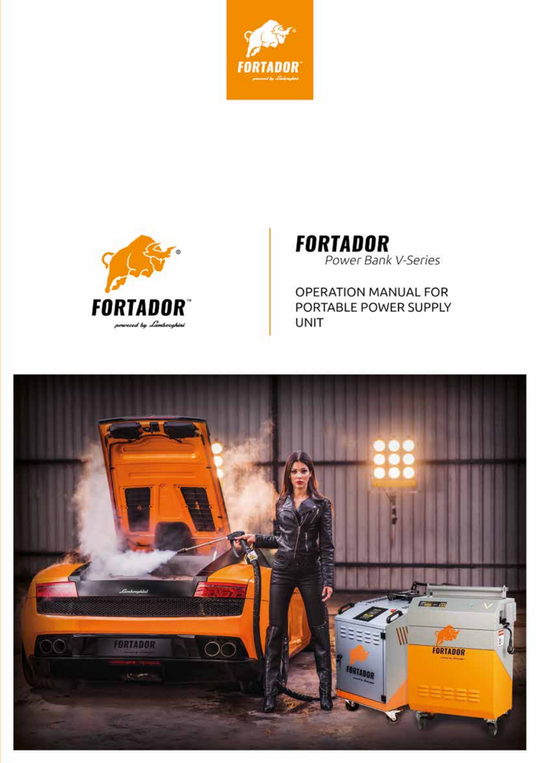



**FORTADOR**<br>Power Bank V-Series

**OPERATION MANUAL FOR** PORTABLE POWER SUPPLY **UNIT** 

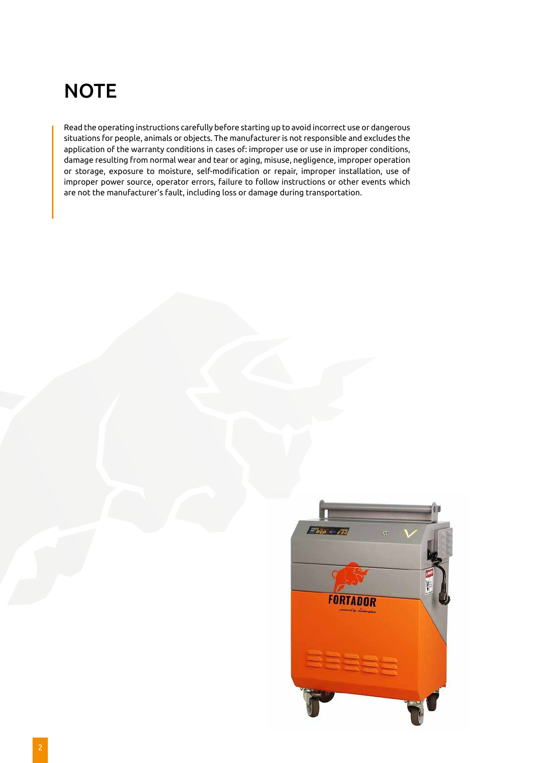# **NOTE**

Read the operating instructions carefully before starting up to avoid incorrect use or dangerous situations for people, animals or objects. The manufacturer is not responsible and excludes the application of the warranty conditions in cases of: improper use or use in improper conditions, damage resulting from normal wear and tear or aging, misuse, negligence, improper operation or storage, exposure to moisture, self-modification or repair, improper installation, use of improper power source, operator errors, failure to follow instructions or other events which are not the manufacturer's fault, including loss or damage during transportation.

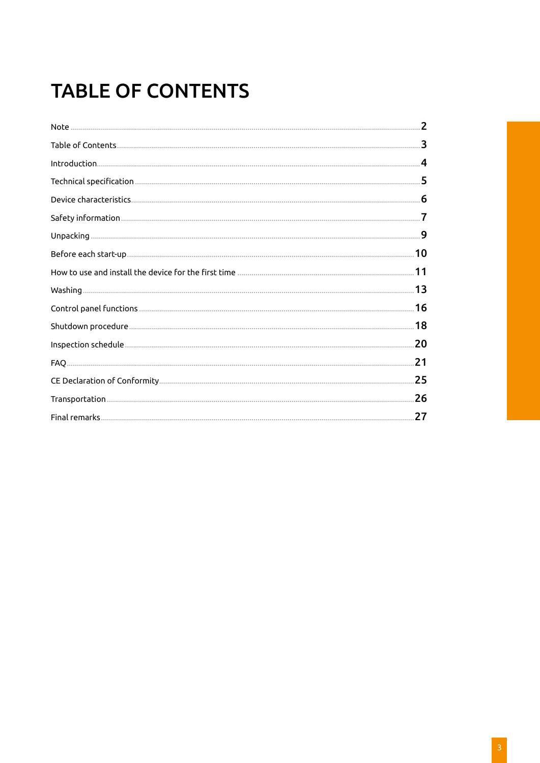# **TABLE OF CONTENTS**

| .3                      |
|-------------------------|
| $\overline{\mathbf{4}}$ |
|                         |
|                         |
|                         |
|                         |
|                         |
|                         |
|                         |
|                         |
|                         |
|                         |
| .21                     |
| .25                     |
|                         |
| 27                      |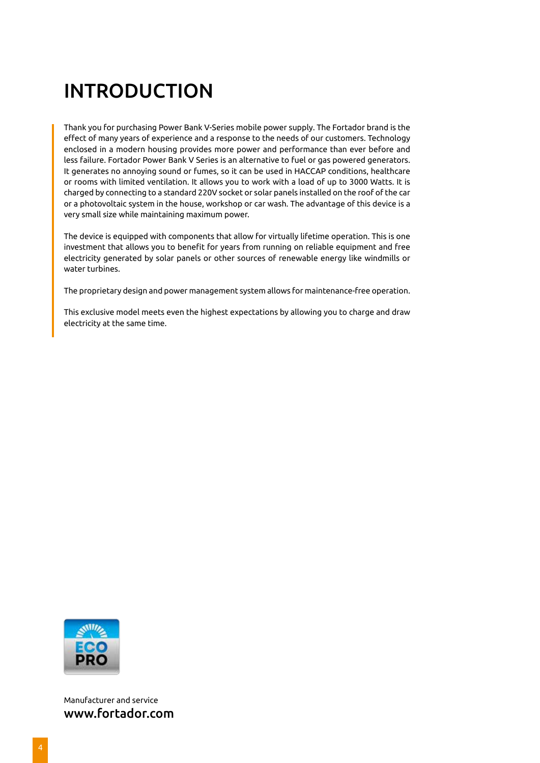# INTRODUCTION

Thank you for purchasing Power Bank V-Series mobile power supply. The Fortador brand is the effect of many years of experience and a response to the needs of our customers. Technology enclosed in a modern housing provides more power and performance than ever before and less failure. Fortador Power Bank V Series is an alternative to fuel or gas powered generators. It generates no annoying sound or fumes, so it can be used in HACCAP conditions, healthcare or rooms with limited ventilation. It allows you to work with a load of up to 3000 Watts. It is charged by connecting to a standard 220V socket or solar panels installed on the roof of the car or a photovoltaic system in the house, workshop or car wash. The advantage of this device is a very small size while maintaining maximum power.

The device is equipped with components that allow for virtually lifetime operation. This is one investment that allows you to benefit for years from running on reliable equipment and free electricity generated by solar panels or other sources of renewable energy like windmills or water turbines.

The proprietary design and power management system allows for maintenance-free operation.

This exclusive model meets even the highest expectations by allowing you to charge and draw electricity at the same time.



Manufacturer and service www.fortador.com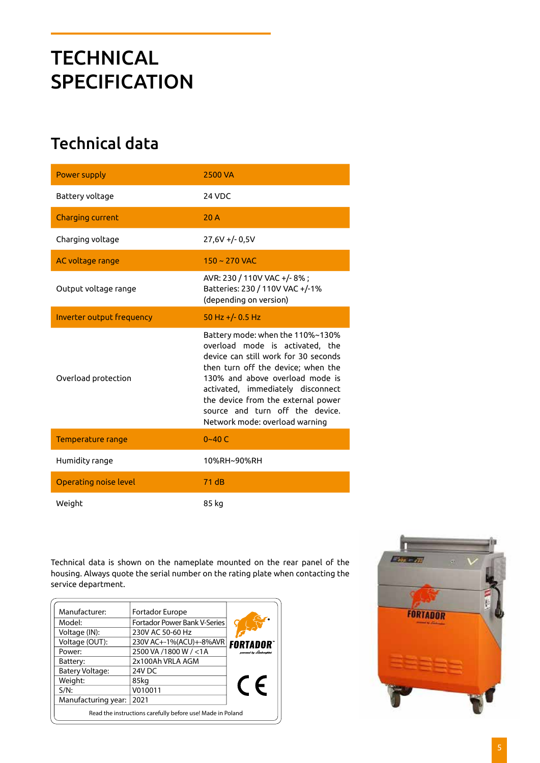# **TECHNICAL SPECIFICATION**

### Technical data

| Power supply                 | <b>2500 VA</b>                                                                                                                                                                                                                                                                                                                       |
|------------------------------|--------------------------------------------------------------------------------------------------------------------------------------------------------------------------------------------------------------------------------------------------------------------------------------------------------------------------------------|
| Battery voltage              | 24 VDC                                                                                                                                                                                                                                                                                                                               |
| Charging current             | 20A                                                                                                                                                                                                                                                                                                                                  |
| Charging voltage             | $27,6V + (-0.5V)$                                                                                                                                                                                                                                                                                                                    |
| AC voltage range             | $150 - 270$ VAC                                                                                                                                                                                                                                                                                                                      |
| Output voltage range         | AVR: 230 / 110V VAC +/-8%;<br>Batteries: 230 / 110V VAC +/-1%<br>(depending on version)                                                                                                                                                                                                                                              |
| Inverter output frequency    | 50 Hz +/- $0.5$ Hz                                                                                                                                                                                                                                                                                                                   |
| Overload protection          | Battery mode: when the 110%~130%<br>overload mode is activated, the<br>device can still work for 30 seconds<br>then turn off the device; when the<br>130% and above overload mode is<br>activated, immediately disconnect<br>the device from the external power<br>source and turn off the device.<br>Network mode: overload warning |
| Temperature range            | $0 - 40 C$                                                                                                                                                                                                                                                                                                                           |
| Humidity range               | 10%RH~90%RH                                                                                                                                                                                                                                                                                                                          |
| <b>Operating noise level</b> | 71 dB                                                                                                                                                                                                                                                                                                                                |
| Weight                       | 85 kg                                                                                                                                                                                                                                                                                                                                |

Technical data is shown on the nameplate mounted on the rear panel of the housing. Always quote the serial number on the rating plate when contacting the service department.

| Manufacturer:                                              | Fortador Europe                     |                       |
|------------------------------------------------------------|-------------------------------------|-----------------------|
| Model:                                                     | <b>Fortador Power Bank V-Series</b> |                       |
| Voltage (IN):                                              | 230V AC 50-60 Hz                    |                       |
| Voltage (OUT):                                             | 230V AC+-1%(ACU)+-8%AVR             | <b>FORTADOR</b>       |
| Power:                                                     | 2500 VA /1800 W / <1A               | poweed by Lamborghini |
| Battery:                                                   | 2x100Ah VRLA AGM                    |                       |
| <b>Batery Voltage:</b>                                     | 24V DC                              |                       |
| Weight:                                                    | 85kg                                |                       |
| $S/N$ :                                                    | V010011                             | $\epsilon$            |
| Manufacturing year:                                        | 2021                                |                       |
| Read the instructions carefully before use! Made in Poland |                                     |                       |

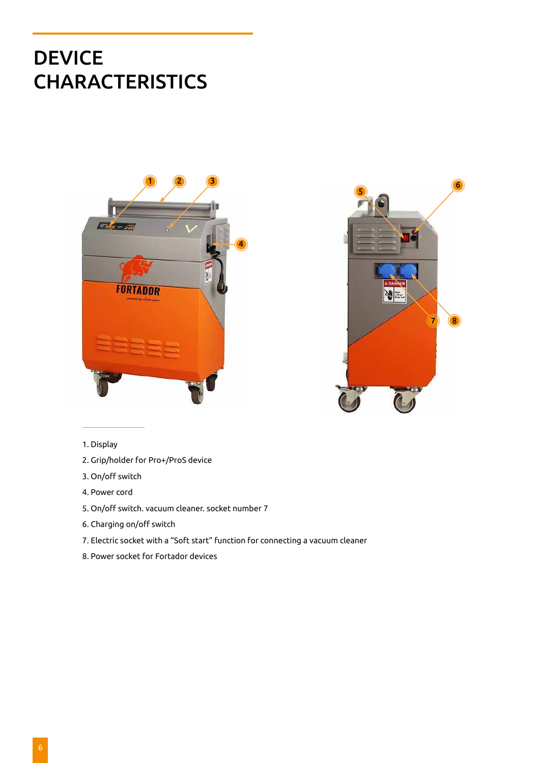## DEVICE **CHARACTERISTICS**





#### 1. Display

- 2. Grip/holder for Pro+/ProS device
- 3. On/off switch
- 4. Power cord
- 5. On/off switch. vacuum cleaner. socket number 7
- 6. Charging on/off switch
- 7. Electric socket with a "Soft start" function for connecting a vacuum cleaner
- 8. Power socket for Fortador devices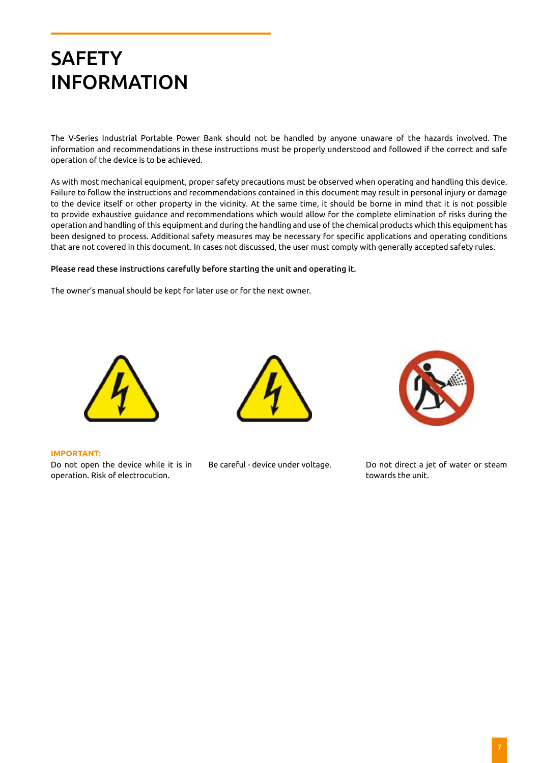# **SAFETY** INFORMATION

The V-Series Industrial Portable Power Bank should not be handled by anyone unaware of the hazards involved. The information and recommendations in these instructions must be properly understood and followed if the correct and safe operation of the device is to be achieved.

As with most mechanical equipment, proper safety precautions must be observed when operating and handling this device. Failure to follow the instructions and recommendations contained in this document may result in personal injury or damage to the device itself or other property in the vicinity. At the same time, it should be borne in mind that it is not possible to provide exhaustive guidance and recommendations which would allow for the complete elimination of risks during the operation and handling of this equipment and during the handling and use of the chemical products which this equipment has been designed to process. Additional safety measures may be necessary for specific applications and operating conditions that are not covered in this document. In cases not discussed, the user must comply with generally accepted safety rules.

#### Please read these instructions carefully before starting the unit and operating it.

The owner's manual should be kept for later use or for the next owner.



#### **IMPORTANT:**

Do not open the device while it is in operation. Risk of electrocution.





Be careful - device under voltage. Do not direct a jet of water or steam towards the unit.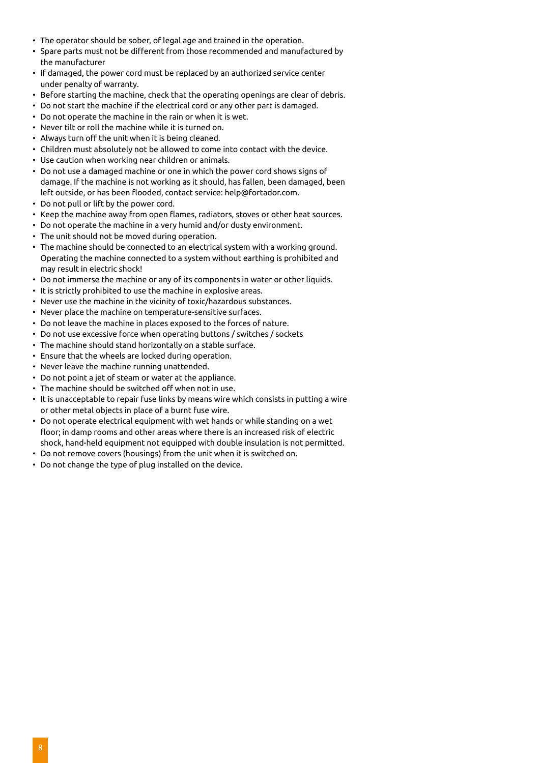- The operator should be sober, of legal age and trained in the operation.
- Spare parts must not be different from those recommended and manufactured by the manufacturer
- If damaged, the power cord must be replaced by an authorized service center under penalty of warranty.
- Before starting the machine, check that the operating openings are clear of debris.
- Do not start the machine if the electrical cord or any other part is damaged.
- Do not operate the machine in the rain or when it is wet.
- Never tilt or roll the machine while it is turned on.
- Always turn off the unit when it is being cleaned.
- Children must absolutely not be allowed to come into contact with the device.
- Use caution when working near children or animals.
- Do not use a damaged machine or one in which the power cord shows signs of damage. If the machine is not working as it should, has fallen, been damaged, been left outside, or has been flooded, contact service: help@fortador.com.
- Do not pull or lift by the power cord.
- Keep the machine away from open flames, radiators, stoves or other heat sources.
- Do not operate the machine in a very humid and/or dusty environment.
- The unit should not be moved during operation.
- The machine should be connected to an electrical system with a working ground. Operating the machine connected to a system without earthing is prohibited and may result in electric shock!
- Do not immerse the machine or any of its components in water or other liquids.
- It is strictly prohibited to use the machine in explosive areas.
- Never use the machine in the vicinity of toxic/hazardous substances.
- Never place the machine on temperature-sensitive surfaces.
- Do not leave the machine in places exposed to the forces of nature.
- Do not use excessive force when operating buttons / switches / sockets
- The machine should stand horizontally on a stable surface.
- Ensure that the wheels are locked during operation.
- Never leave the machine running unattended.
- Do not point a jet of steam or water at the appliance.
- The machine should be switched off when not in use.
- It is unacceptable to repair fuse links by means wire which consists in putting a wire or other metal objects in place of a burnt fuse wire.
- Do not operate electrical equipment with wet hands or while standing on a wet floor; in damp rooms and other areas where there is an increased risk of electric shock, hand-held equipment not equipped with double insulation is not permitted.
- Do not remove covers (housings) from the unit when it is switched on.
- Do not change the type of plug installed on the device.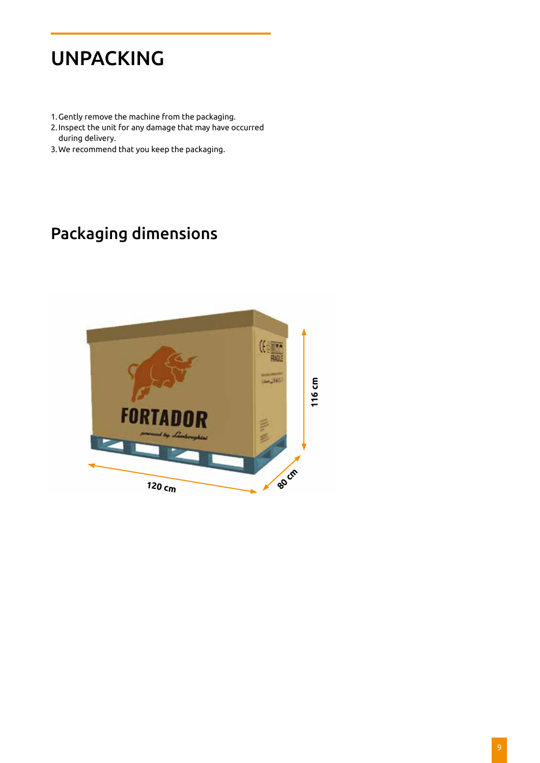# UNPACKING

- 1.Gently remove the machine from the packaging.
- 2. Inspect the unit for any damage that may have occurred during delivery.
- 3.We recommend that you keep the packaging.

### Packaging dimensions

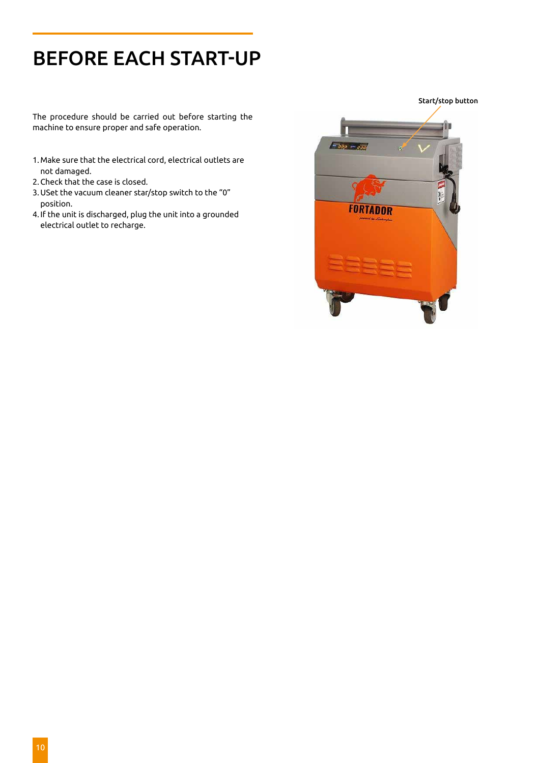# BEFORE EACH START-UP

The procedure should be carried out before starting the machine to ensure proper and safe operation.

- 1.Make sure that the electrical cord, electrical outlets are not damaged.
- 2.Check that the case is closed.
- 3.USet the vacuum cleaner star/stop switch to the "0" position.
- 4. If the unit is discharged, plug the unit into a grounded electrical outlet to recharge.

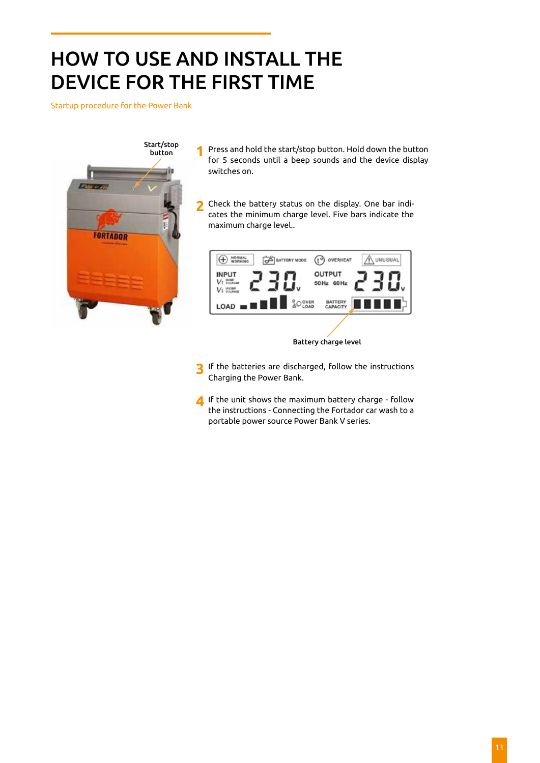# HOW TO USE AND INSTALL THE DEVICE FOR THE FIRST TIME

Startup procedure for the Power Bank



- Press and hold the start/stop button. Hold down the button for 5 seconds until a beep sounds and the device display switches on. **1**
- Check the battery status on the display. One bar indicates the minimum charge level. Five bars indicate the maximum charge level.. **2**



Battery charge level

- If the batteries are discharged, follow the instructions Charging the Power Bank. **3**
- If the unit shows the maximum battery charge follow the instructions - Connecting the Fortador car wash to a portable power source Power Bank V series. **4**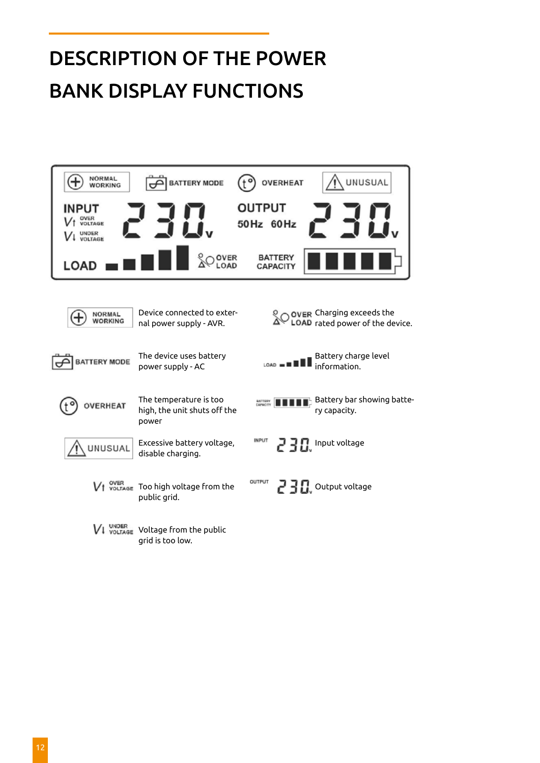# DESCRIPTION OF THE POWER BANK DISPLAY FUNCTIONS

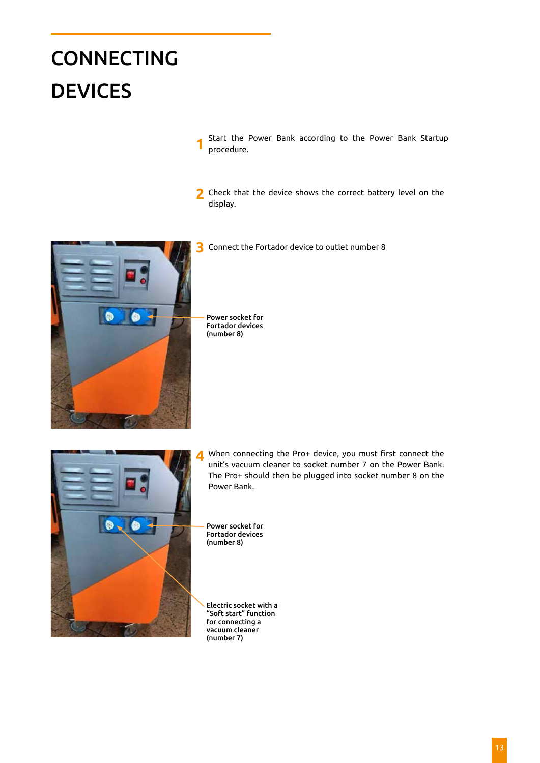# **CONNECTING** DEVICES

Start the Power Bank according to the Power Bank Startup procedure. **1**

2 Check that the device shows the correct battery level on the display.

Connect the Fortador device to outlet number 8



Power socket for Fortador devices (number 8)



When connecting the Pro+ device, you must first connect the unit's vacuum cleaner to socket number 7 on the Power Bank. The Pro+ should then be plugged into socket number 8 on the Power Bank.

Power socket for Fortador devices (number 8)

Electric socket with a "Soft start" function for connecting a vacuum cleaner (number 7)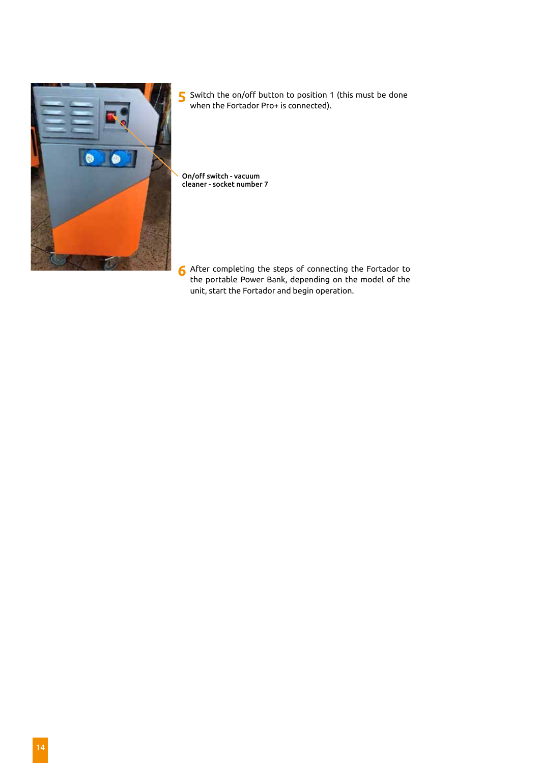

Switch the on/off button to position 1 (this must be done when the Fortador Pro+ is connected). **5**

On/off switch - vacuum cleaner - socket number 7

After completing the steps of connecting the Fortador to **6** the portable Power Bank, depending on the model of the unit, start the Fortador and begin operation.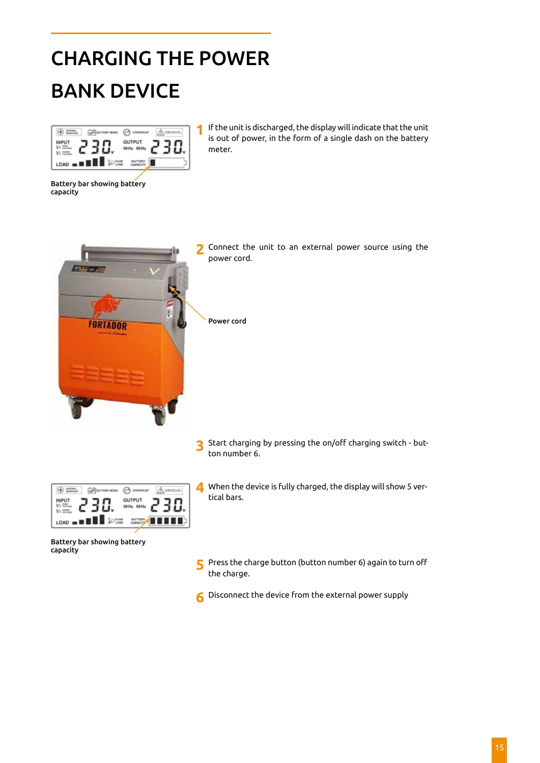# CHARGING THE POWER BANK DEVICE

|                                                   | <b>DVI</b>      |  |
|---------------------------------------------------|-----------------|--|
| ۹                                                 | OUTPUT<br>60 Hz |  |
| <b>SO</b> SYRE<br>ı<br>н<br>$LOAD = \blacksquare$ |                 |  |

**1** If the unit is discharged, the display will indicate that the unit is out of power, in the form of a single dash on the battery meter.

Battery bar showing battery capacity



Connect the unit to an external power source using the power cord.

Start charging by pressing the on/off charging switch - but-**3** Start charging<br>ton number 6.



When the device is fully charged, the display will show 5 vertical bars.

Battery bar showing battery capacity

- Press the charge button (button number 6) again to turn off the charge. **5**
- Disconnect the device from the external power supply **6**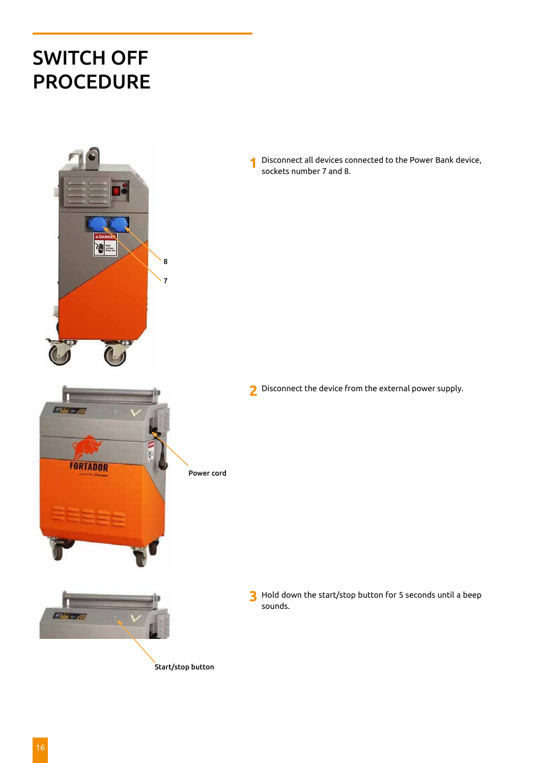## SWITCH OFF PROCEDURE



Fibrosom

Disconnect all devices connected to the Power Bank device, sockets number 7 and 8. **1**

Disconnect the device from the external power supply. **2**

- **FORTADOR** Power cord  $F$ aja  $-$ aja
- **3** Hold down the start/stop button for 5 seconds until a beep sounds.
- Start/stop button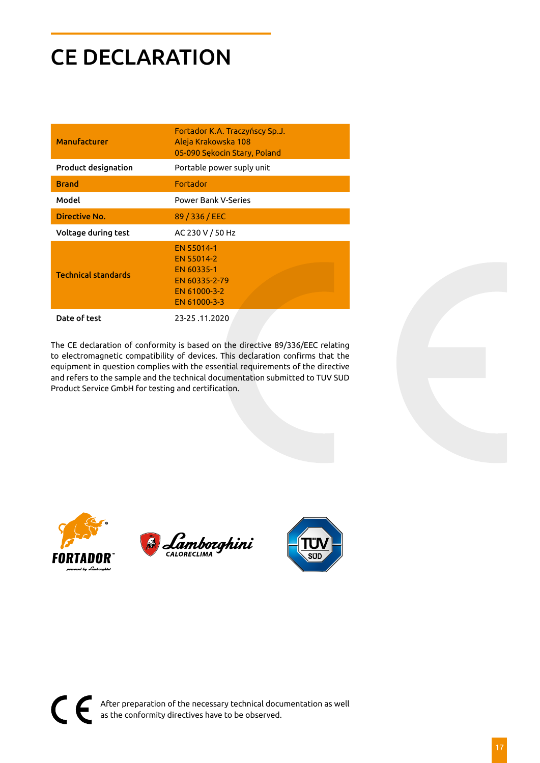# CE DECLARATION

| <b>Manufacturer</b>        | Fortador K.A. Traczyńscy Sp.J.<br>Aleja Krakowska 108<br>05-090 Sekocin Stary, Poland   |
|----------------------------|-----------------------------------------------------------------------------------------|
| <b>Product designation</b> | Portable power suply unit                                                               |
| <b>Brand</b>               | Fortador                                                                                |
| Model                      | <b>Power Bank V-Series</b>                                                              |
| Directive No.              | 89 / 336 / EEC                                                                          |
| Voltage during test        | AC 230 V / 50 Hz                                                                        |
| <b>Technical standards</b> | FN 55014-1<br>EN 55014-2<br>EN 60335-1<br>EN 60335-2-79<br>EN 61000-3-2<br>EN 61000-3-3 |
| Date of test               | 23-25.11.2020                                                                           |

The CE declaration of conformity is based on the directive 89/336/EEC relating to electromagnetic compatibility of devices. This declaration confirms that the equipment in question complies with the essential requirements of the directive and refers to the sample and the technical documentation submitted to TUV SUD Product Service GmbH for testing and certification.





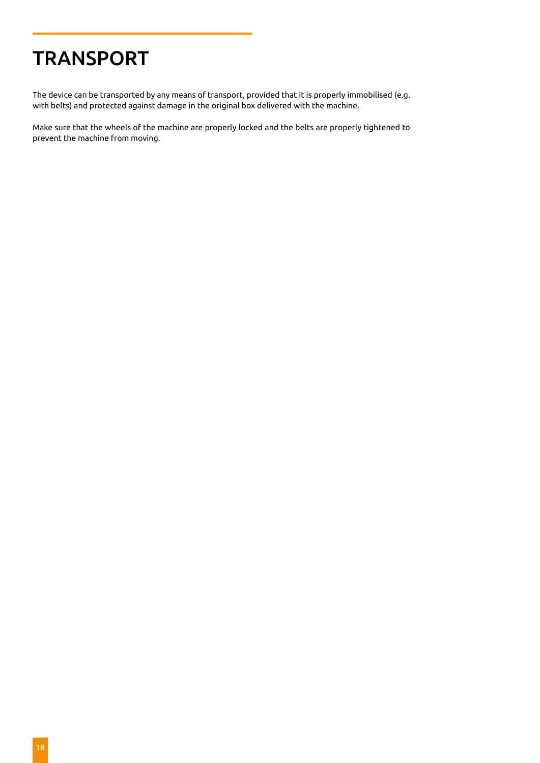# **TRANSPORT**

The device can be transported by any means of transport, provided that it is properly immobilised (e.g. with belts) and protected against damage in the original box delivered with the machine.

Make sure that the wheels of the machine are properly locked and the belts are properly tightened to prevent the machine from moving.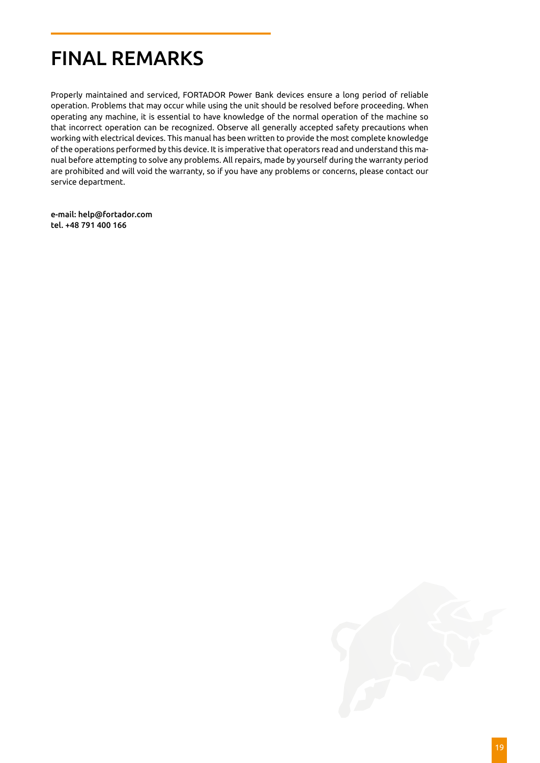## FINAL REMARKS

Properly maintained and serviced, FORTADOR Power Bank devices ensure a long period of reliable operation. Problems that may occur while using the unit should be resolved before proceeding. When operating any machine, it is essential to have knowledge of the normal operation of the machine so that incorrect operation can be recognized. Observe all generally accepted safety precautions when working with electrical devices. This manual has been written to provide the most complete knowledge of the operations performed by this device. It is imperative that operators read and understand this manual before attempting to solve any problems. All repairs, made by yourself during the warranty period are prohibited and will void the warranty, so if you have any problems or concerns, please contact our service department.

e-mail: help@fortador.com tel. +48 791 400 166